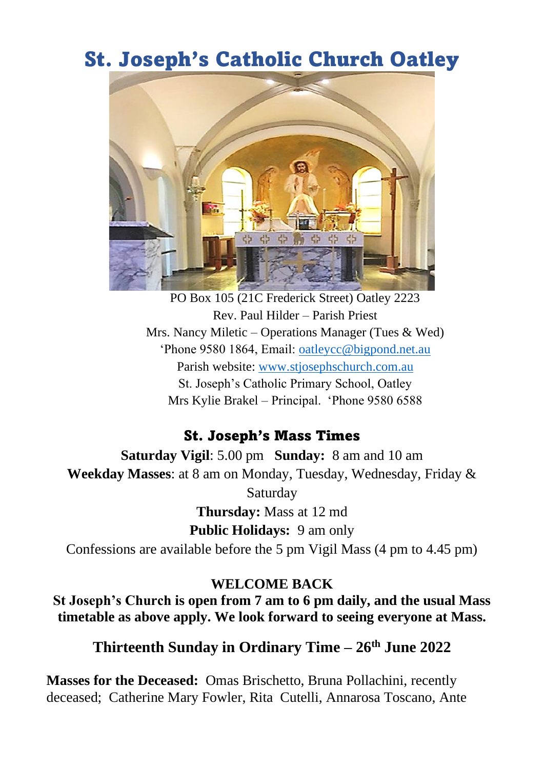# St. Joseph's Catholic Church Oatley



PO Box 105 (21C Frederick Street) Oatley 2223 Rev. Paul Hilder – Parish Priest Mrs. Nancy Miletic – Operations Manager (Tues & Wed) 'Phone 9580 1864, Email: [oatleycc@bigpond.net.au](mailto:oatleycc@bigpond.net.au) Parish website: [www.stjosephschurch.com.au](http://www.stjosephschurch.com.au/) St. Joseph's Catholic Primary School, Oatley Mrs Kylie Brakel – Principal. 'Phone 9580 6588

#### St. Joseph's Mass Times

**Saturday Vigil**: 5.00 pm **Sunday:** 8 am and 10 am **Weekday Masses**: at 8 am on Monday, Tuesday, Wednesday, Friday & Saturday **Thursday:** Mass at 12 md **Public Holidays:** 9 am only Confessions are available before the 5 pm Vigil Mass (4 pm to 4.45 pm)

#### **WELCOME BACK**

**St Joseph's Church is open from 7 am to 6 pm daily, and the usual Mass timetable as above apply. We look forward to seeing everyone at Mass.**

**Thirteenth Sunday in Ordinary Time – 26th June 2022**

**Masses for the Deceased:** Omas Brischetto, Bruna Pollachini, recently deceased; Catherine Mary Fowler, Rita Cutelli, Annarosa Toscano, Ante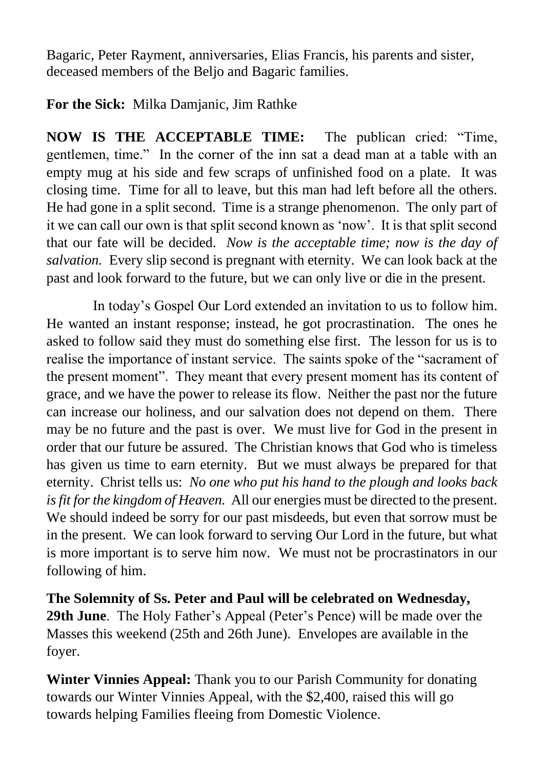Bagaric, Peter Rayment, anniversaries, Elias Francis, his parents and sister, deceased members of the Beljo and Bagaric families.

### **For the Sick:** Milka Damjanic, Jim Rathke

**NOW IS THE ACCEPTABLE TIME:** The publican cried: "Time, gentlemen, time." In the corner of the inn sat a dead man at a table with an empty mug at his side and few scraps of unfinished food on a plate. It was closing time. Time for all to leave, but this man had left before all the others. He had gone in a split second. Time is a strange phenomenon. The only part of it we can call our own is that split second known as 'now'. It is that split second that our fate will be decided. *Now is the acceptable time; now is the day of salvation.* Every slip second is pregnant with eternity. We can look back at the past and look forward to the future, but we can only live or die in the present.

In today's Gospel Our Lord extended an invitation to us to follow him. He wanted an instant response; instead, he got procrastination. The ones he asked to follow said they must do something else first. The lesson for us is to realise the importance of instant service. The saints spoke of the "sacrament of the present moment". They meant that every present moment has its content of grace, and we have the power to release its flow. Neither the past nor the future can increase our holiness, and our salvation does not depend on them. There may be no future and the past is over. We must live for God in the present in order that our future be assured. The Christian knows that God who is timeless has given us time to earn eternity. But we must always be prepared for that eternity. Christ tells us: *No one who put his hand to the plough and looks back is fit for the kingdom of Heaven.* All our energies must be directed to the present. We should indeed be sorry for our past misdeeds, but even that sorrow must be in the present. We can look forward to serving Our Lord in the future, but what is more important is to serve him now. We must not be procrastinators in our following of him.

**The Solemnity of Ss. Peter and Paul will be celebrated on Wednesday, 29th June**. The Holy Father's Appeal (Peter's Pence) will be made over the Masses this weekend (25th and 26th June). Envelopes are available in the foyer.

**Winter Vinnies Appeal:** Thank you to our Parish Community for donating towards our Winter Vinnies Appeal, with the \$2,400, raised this will go towards helping Families fleeing from Domestic Violence.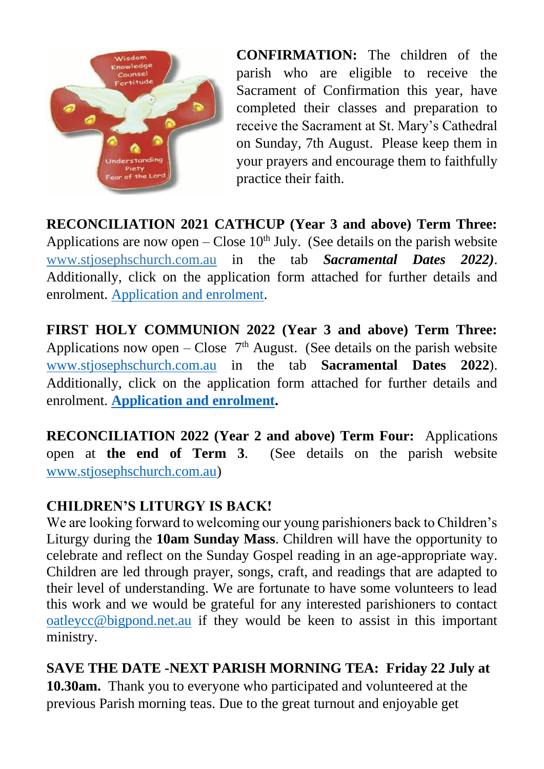

**CONFIRMATION:** The children of the parish who are eligible to receive the Sacrament of Confirmation this year, have completed their classes and preparation to receive the Sacrament at St. Mary's Cathedral on Sunday, 7th August. Please keep them in your prayers and encourage them to faithfully practice their faith.

**RECONCILIATION 2021 CATHCUP (Year 3 and above) Term Three:**  Applications are now open – Close  $10<sup>th</sup>$  July. (See details on the parish website [www.stjosephschurch.com.au](http://www.stjosephschurch.com.au/) in the tab *Sacramental Dates 2022)*. Additionally, click on the application form attached for further details and enrolment. [Application and enrolment.](file:///C:/Users/OatleyParish/Desktop/Documents/LITURGY%20AND%20SACRAMENTS/SACRAMENTS%202022/Sacraments%202022/Reconciliation/Information%20Sheet-Enrolment%20Form_Reconciliation%202022%20Catchup%20and%20FHC%202022.doc)

**FIRST HOLY COMMUNION 2022 (Year 3 and above) Term Three:**  Applications now open – Close  $7<sup>th</sup>$  August. (See details on the parish website [www.stjosephschurch.com.au](http://www.stjosephschurch.com.au/) in the tab **Sacramental Dates 2022**). Additionally, click on the application form attached for further details and enrolment. **[Application and enrolment.](file:///C:/Users/OatleyParish/Desktop/Documents/LITURGY%20AND%20SACRAMENTS/SACRAMENTS%202022/Sacraments%202022/Reconciliation/Information%20Sheet-Enrolment%20Form_Reconciliation%202022%20Catchup%20and%20FHC%202022.doc)**

**RECONCILIATION 2022 (Year 2 and above) Term Four:** Applications open at **the end of Term 3**. (See details on the parish website [www.stjosephschurch.com.au\)](http://www.stjosephschurch.com.au/)

## **CHILDREN'S LITURGY IS BACK!**

We are looking forward to welcoming our young parishioners back to Children's Liturgy during the **10am Sunday Mass**. Children will have the opportunity to celebrate and reflect on the Sunday Gospel reading in an age-appropriate way. Children are led through prayer, songs, craft, and readings that are adapted to their level of understanding. We are fortunate to have some volunteers to lead this work and we would be grateful for any interested parishioners to contact [oatleycc@bigpond.net.au](mailto:oatleycc@bigpond.net.au) if they would be keen to assist in this important ministry.

**SAVE THE DATE -NEXT PARISH MORNING TEA: Friday 22 July at** 

**10.30am.** Thank you to everyone who participated and volunteered at the previous Parish morning teas. Due to the great turnout and enjoyable get